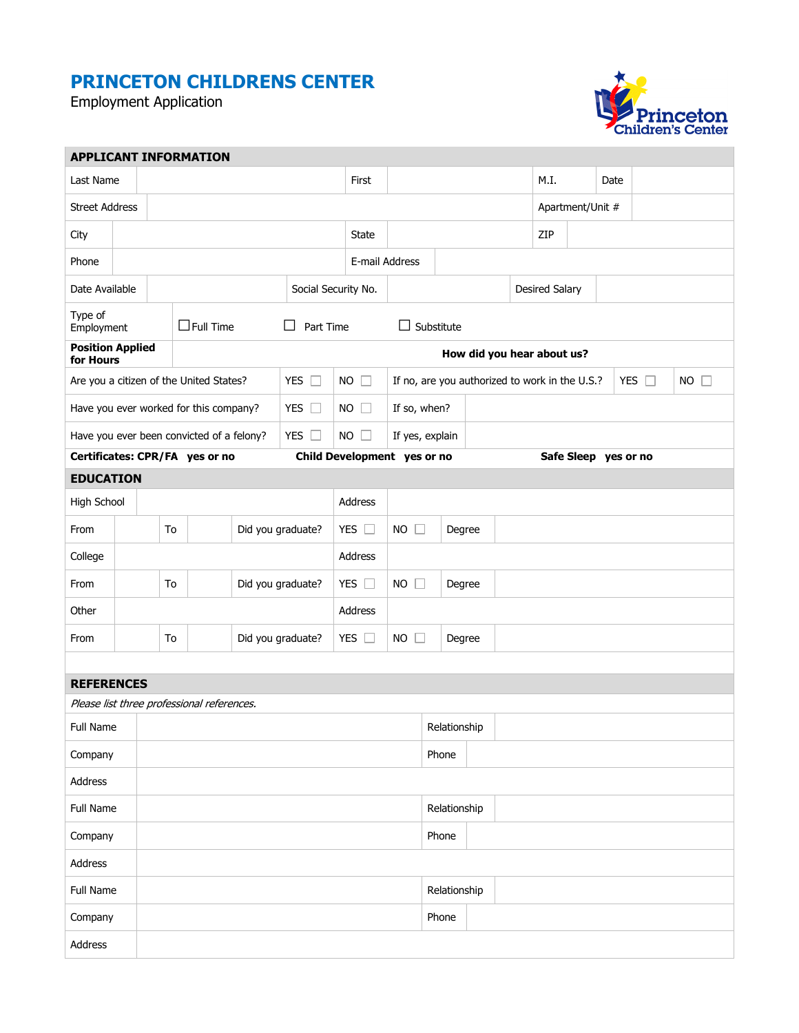## **PRINCETON CHILDRENS CENTER**

Employment Application



| <b>APPLICANT INFORMATION</b>         |                                         |    |                                                         |                                            |                     |                       |                                                |                          |              |              |                  |                       |               |             |  |  |  |  |
|--------------------------------------|-----------------------------------------|----|---------------------------------------------------------|--------------------------------------------|---------------------|-----------------------|------------------------------------------------|--------------------------|--------------|--------------|------------------|-----------------------|---------------|-------------|--|--|--|--|
| Last Name                            |                                         |    |                                                         |                                            |                     |                       | First                                          |                          |              |              | M.I.             |                       | Date          |             |  |  |  |  |
| <b>Street Address</b>                |                                         |    |                                                         |                                            |                     |                       |                                                |                          |              |              | Apartment/Unit # |                       |               |             |  |  |  |  |
| City                                 |                                         |    |                                                         |                                            | <b>State</b>        |                       |                                                |                          |              | ZIP          |                  |                       |               |             |  |  |  |  |
| Phone                                |                                         |    |                                                         |                                            |                     | E-mail Address        |                                                |                          |              |              |                  |                       |               |             |  |  |  |  |
| Date Available                       |                                         |    |                                                         |                                            |                     | Social Security No.   |                                                |                          |              |              |                  | <b>Desired Salary</b> |               |             |  |  |  |  |
| Type of<br>Employment                | $\Box$ Full Time<br>Part Time<br>ΙI     |    |                                                         |                                            |                     |                       | $\Box$ Substitute                              |                          |              |              |                  |                       |               |             |  |  |  |  |
| <b>Position Applied</b><br>for Hours |                                         |    |                                                         |                                            |                     |                       | How did you hear about us?                     |                          |              |              |                  |                       |               |             |  |  |  |  |
|                                      | Are you a citizen of the United States? |    |                                                         | YES $\Box$                                 | <b>NO</b><br>$\Box$ |                       | If no, are you authorized to work in the U.S.? |                          |              |              |                  |                       | YES $\square$ | $NO$ $\Box$ |  |  |  |  |
|                                      |                                         |    | YES $\square$<br>Have you ever worked for this company? |                                            |                     |                       |                                                | $NO$ $\Box$              | If so, when? |              |                  |                       |               |             |  |  |  |  |
|                                      |                                         |    | Have you ever been convicted of a felony?<br>YES $\Box$ |                                            |                     | $NO$ $\Box$           | If yes, explain                                |                          |              |              |                  |                       |               |             |  |  |  |  |
| Certificates: CPR/FA yes or no       |                                         |    |                                                         |                                            |                     |                       | Child Development yes or no                    |                          |              |              |                  | Safe Sleep yes or no  |               |             |  |  |  |  |
| <b>EDUCATION</b>                     |                                         |    |                                                         |                                            |                     |                       |                                                |                          |              |              |                  |                       |               |             |  |  |  |  |
| High School                          |                                         |    |                                                         |                                            |                     |                       |                                                | Address                  |              |              |                  |                       |               |             |  |  |  |  |
| From                                 |                                         |    | To                                                      | Did you graduate?                          |                     |                       | YES $\Box$                                     | $NO$ $\Box$              |              | Degree       |                  |                       |               |             |  |  |  |  |
| College                              |                                         |    |                                                         |                                            |                     |                       |                                                | Address                  |              |              |                  |                       |               |             |  |  |  |  |
| From                                 |                                         | To |                                                         | Did you graduate?                          |                     |                       | YES $\square$                                  | <b>NO</b><br>П<br>Degree |              |              |                  |                       |               |             |  |  |  |  |
| Other                                |                                         |    |                                                         |                                            | Address             |                       |                                                |                          |              |              |                  |                       |               |             |  |  |  |  |
| From                                 | Did you graduate?<br>To                 |    |                                                         |                                            | YES $\square$       | $NO$ $\Box$<br>Degree |                                                |                          |              |              |                  |                       |               |             |  |  |  |  |
|                                      |                                         |    |                                                         |                                            |                     |                       |                                                |                          |              |              |                  |                       |               |             |  |  |  |  |
| <b>REFERENCES</b>                    |                                         |    |                                                         |                                            |                     |                       |                                                |                          |              |              |                  |                       |               |             |  |  |  |  |
|                                      |                                         |    |                                                         | Please list three professional references. |                     |                       |                                                |                          |              |              |                  |                       |               |             |  |  |  |  |
| Full Name                            |                                         |    |                                                         |                                            |                     |                       |                                                |                          |              | Relationship |                  |                       |               |             |  |  |  |  |
| Company                              | Phone                                   |    |                                                         |                                            |                     |                       |                                                |                          |              |              |                  |                       |               |             |  |  |  |  |
| Address                              |                                         |    |                                                         |                                            |                     |                       |                                                |                          |              |              |                  |                       |               |             |  |  |  |  |
| Full Name                            |                                         |    |                                                         |                                            |                     |                       |                                                | Relationship             |              |              |                  |                       |               |             |  |  |  |  |
| Company                              |                                         |    |                                                         |                                            |                     |                       |                                                |                          | Phone        |              |                  |                       |               |             |  |  |  |  |
| Address                              |                                         |    |                                                         |                                            |                     |                       |                                                |                          |              |              |                  |                       |               |             |  |  |  |  |
| Full Name                            | Relationship                            |    |                                                         |                                            |                     |                       |                                                |                          |              |              |                  |                       |               |             |  |  |  |  |
| Company                              |                                         |    |                                                         |                                            |                     |                       |                                                |                          | Phone        |              |                  |                       |               |             |  |  |  |  |
| Address                              |                                         |    |                                                         |                                            |                     |                       |                                                |                          |              |              |                  |                       |               |             |  |  |  |  |